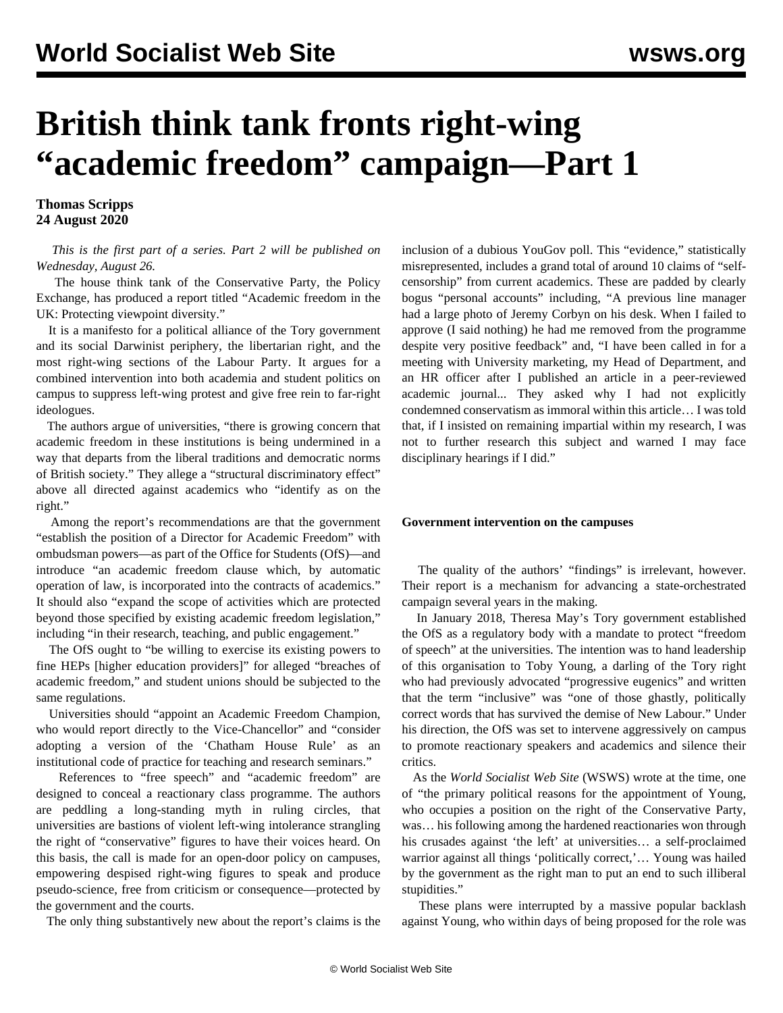## **British think tank fronts right-wing "academic freedom" campaign—Part 1**

**Thomas Scripps 24 August 2020**

 *This is the first part of a series. Part 2 will be published on Wednesday, August 26.*

 The house think tank of the Conservative Party, the Policy Exchange, has produced a report titled "Academic freedom in the UK: Protecting viewpoint diversity."

 It is a manifesto for a political alliance of the Tory government and its social Darwinist periphery, the libertarian right, and the most right-wing sections of the Labour Party. It argues for a combined intervention into both academia and student politics on campus to suppress left-wing protest and give free rein to far-right ideologues.

 The authors argue of universities, "there is growing concern that academic freedom in these institutions is being undermined in a way that departs from the liberal traditions and democratic norms of British society." They allege a "structural discriminatory effect" above all directed against academics who "identify as on the right."

 Among the report's recommendations are that the government "establish the position of a Director for Academic Freedom" with ombudsman powers—as part of the Office for Students (OfS)—and introduce "an academic freedom clause which, by automatic operation of law, is incorporated into the contracts of academics." It should also "expand the scope of activities which are protected beyond those specified by existing academic freedom legislation," including "in their research, teaching, and public engagement."

 The OfS ought to "be willing to exercise its existing powers to fine HEPs [higher education providers]" for alleged "breaches of academic freedom," and student unions should be subjected to the same regulations.

 Universities should "appoint an Academic Freedom Champion, who would report directly to the Vice-Chancellor" and "consider adopting a version of the 'Chatham House Rule' as an institutional code of practice for teaching and research seminars."

 References to "free speech" and "academic freedom" are designed to conceal a reactionary class programme. The authors are peddling a long-standing myth in ruling circles, that universities are bastions of violent left-wing intolerance strangling the right of "conservative" figures to have their voices heard. On this basis, the call is made for an open-door policy on campuses, empowering despised right-wing figures to speak and produce pseudo-science, free from criticism or consequence—protected by the government and the courts.

The only thing substantively new about the report's claims is the

inclusion of a dubious YouGov poll. This "evidence," statistically misrepresented, includes a grand total of around 10 claims of "selfcensorship" from current academics. These are padded by clearly bogus "personal accounts" including, "A previous line manager had a large photo of Jeremy Corbyn on his desk. When I failed to approve (I said nothing) he had me removed from the programme despite very positive feedback" and, "I have been called in for a meeting with University marketing, my Head of Department, and an HR officer after I published an article in a peer-reviewed academic journal... They asked why I had not explicitly condemned conservatism as immoral within this article… I was told that, if I insisted on remaining impartial within my research, I was not to further research this subject and warned I may face disciplinary hearings if I did."

## **Government intervention on the campuses**

 The quality of the authors' "findings" is irrelevant, however. Their report is a mechanism for advancing a state-orchestrated campaign several years in the making.

 In January 2018, Theresa May's Tory government established the OfS as a regulatory body with a mandate to protect "freedom of speech" at the universities. The intention was to hand leadership of this organisation to Toby Young, a darling of the Tory right who had previously advocated "progressive eugenics" and written that the term "inclusive" was "one of those ghastly, politically correct words that has survived the demise of New Labour." Under his direction, the OfS was set to intervene aggressively on campus to promote reactionary speakers and academics and silence their critics.

 As the *World Socialist Web Site* (WSWS) [wrote](/en/articles/2018/01/20/stud-j20.html) at the time, one of "the primary political reasons for the appointment of Young, who occupies a position on the right of the Conservative Party, was… his following among the hardened reactionaries won through his crusades against 'the left' at universities… a self-proclaimed warrior against all things 'politically correct,'... Young was hailed by the government as the right man to put an end to such illiberal stupidities."

 These plans were interrupted by a massive popular backlash against Young, who within days of being proposed for the role was